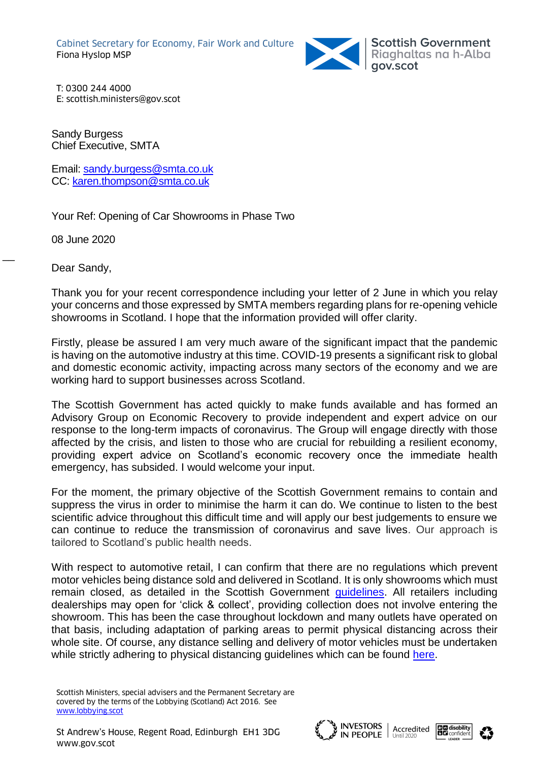

Scottish Government<br>Riaghaltas na h-Alba<br>gov.scot

T: 0300 244 4000 E: scottish.ministers@gov.scot

Sandy Burgess Chief Executive, SMTA

Email: [sandy.burgess@smta.co.uk](mailto:sandy.burgess@smta.co.uk) CC: [karen.thompson@smta.co.uk](mailto:karen.thompson@smta.co.uk)

Your Ref: Opening of Car Showrooms in Phase Two

08 June 2020

Dear Sandy,

 $\overline{\phantom{a}}$ 

Thank you for your recent correspondence including your letter of 2 June in which you relay your concerns and those expressed by SMTA members regarding plans for re-opening vehicle showrooms in Scotland. I hope that the information provided will offer clarity.

Firstly, please be assured I am very much aware of the significant impact that the pandemic is having on the automotive industry at this time. COVID-19 presents a significant risk to global and domestic economic activity, impacting across many sectors of the economy and we are working hard to support businesses across Scotland.

The Scottish Government has acted quickly to make funds available and has formed an Advisory Group on Economic Recovery to provide independent and expert advice on our response to the long-term impacts of coronavirus. The Group will engage directly with those affected by the crisis, and listen to those who are crucial for rebuilding a resilient economy, providing expert advice on Scotland's economic recovery once the immediate health emergency, has subsided. I would welcome your input.

For the moment, the primary objective of the Scottish Government remains to contain and suppress the virus in order to minimise the harm it can do. We continue to listen to the best scientific advice throughout this difficult time and will apply our best judgements to ensure we can continue to reduce the transmission of coronavirus and save lives. Our approach is tailored to Scotland's public health needs.

With respect to automotive retail, I can confirm that there are no regulations which prevent motor vehicles being distance sold and delivered in Scotland. It is only showrooms which must remain closed, as detailed in the Scottish Government [guidelines.](https://www.gov.scot/publications/coronavirus-covid-19-phase-1-business-and-physical-distancing-guidance/pages/overview/) All retailers including dealerships may open for 'click & collect', providing collection does not involve entering the showroom. This has been the case throughout lockdown and many outlets have operated on that basis, including adaptation of parking areas to permit physical distancing across their whole site. Of course, any distance selling and delivery of motor vehicles must be undertaken while strictly adhering to physical distancing guidelines which can be found [here.](https://www.gov.scot/publications/coronavirus-covid-19-staying-at-home-and-away-from-others-social-distancing/pages/overview/)

Scottish Ministers, special advisers and the Permanent Secretary are covered by the terms of the Lobbying (Scotland) Act 2016. See [www.lobbying.scot](http://www.lobbying.scot/)